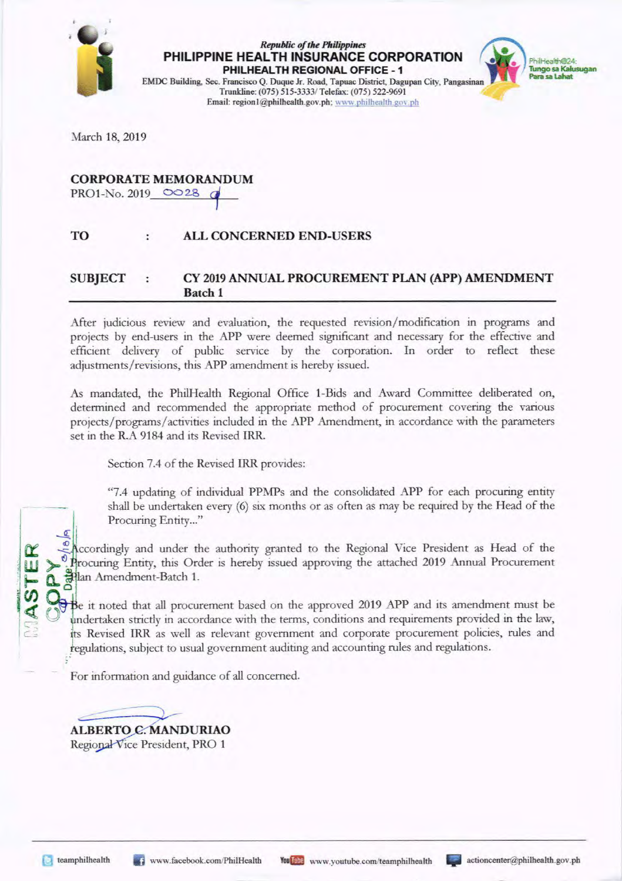

## **PHILIPPINE HEALTH INSURANCE CORPORATION** *Republic of the Plrilippilres*  **PHILHEALTH REGIONAL OFFICE - 1** Para sa Lahat



EMDC Building, Sec. Francisco Q. Duque Jr. Road, Tapuac District, Dagupan City, Pangasinan Trunkline: (075) 515-3333/ Telefax: (075) 522-9691 Email: region1@philhealth.gov.ph; www.philhealth.gov.ph

March 18, 2019

#### **CORPORATE MEMORANDUM**

PRO1-No. 2019  $OO28$ 

#### **TO ALL CONCERNED END-USERS**

#### **SUBJECT : CY 2019 ANNUAL PROCUREMENT PLAN (APP) AMENDMENT Batch 1**

After judicious review and evaluation, the requested revision/ modification in programs and projects by end-users in the APP were deemed significant and necessary for the effective and efficient delivery of public service by the corporation. In order to reflect these adjustments/revisions, this APP amendment is hereby issued.

As mandated, the PhilHealth Regional Office 1-Bids and Award Committee deliberated on, determined and recommended the appropriate method of procurement covering the various projects/programs/ activities included in the APP Amendment, in accordance with the parameters set in the R.A 9184 and its Revised IRR.

Section 7.4 of the Revised lRR provides:

"7.4 updating of individual PPMPs and the consolidated APP for each procuring entity shall be undertaken every (6) six months or as often as may be required by the Head of the Procuring Entity..."

Accordingly and under the authority granted to the Regional Vice President as Head of the <sup>0</sup>. Procuring Entity, this Order is hereby issued approving the attached 2019 Annual Procurement : ~ **Q.** lan Amendment-Batch 1. *·en* **<sup>o</sup>**

Be it noted that all procurement based on the approved 2019 APP and its amendment must be undertaken strictly in accordance with the terms, conditions and requirements provided in the law, its Revised IRR as well as relevant government and corporate procurement policies, rules and regulations, subject to usual government auditing and accounting rules and regulations.

For information and guidance of all concerned.

ALBERTO C. MANDURIAO Regional Vice President, PRO 1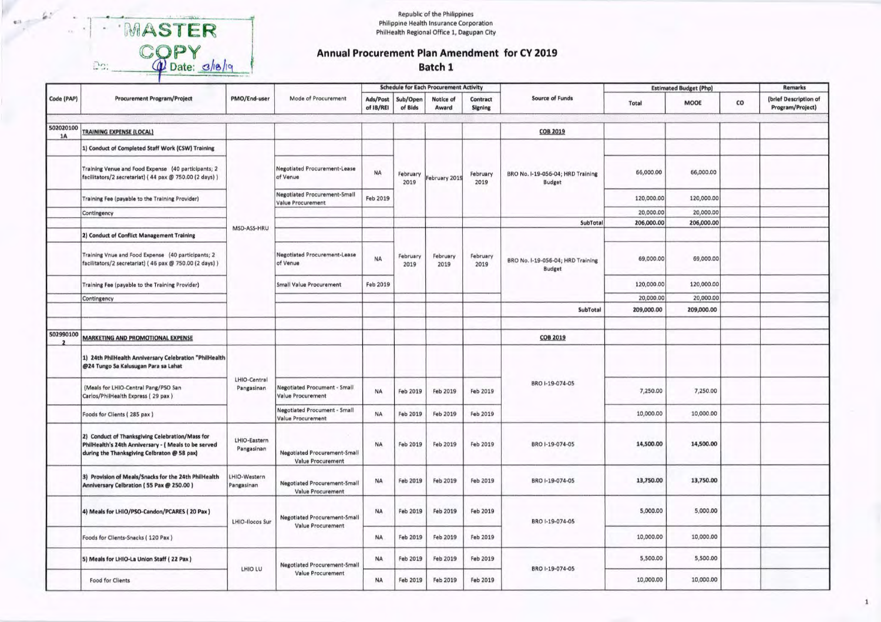Republic of the Philippines Philippine Health Insurance Corporation PhilHealth Regional Office 1, Dagupan City

# MASTER<br>COPY<br>Done: c/18/19

 $en =$ 

 $\lambda$ 

 $D2$ 

### Annual Procurement Plan Amendment for CY 2019

Batch 1

|            |                                                                                                                                                        |                            | Mode of Procurement                                      | <b>Schedule for Each Procurement Activity</b> |                     |                    |                                                                        |                                                    | <b>Estimated Budget (Php)</b> |            |    | <b>Remarks</b>                            |
|------------|--------------------------------------------------------------------------------------------------------------------------------------------------------|----------------------------|----------------------------------------------------------|-----------------------------------------------|---------------------|--------------------|------------------------------------------------------------------------|----------------------------------------------------|-------------------------------|------------|----|-------------------------------------------|
| Code (PAP) | <b>Procurement Program/Project</b>                                                                                                                     | PMO/End-user               |                                                          | Ads/Post<br>of IB/REI                         | Sub/Open<br>of Bids | Notice of<br>Award | Contract<br><b>Signing</b>                                             | <b>Source of Funds</b>                             | Total                         | MOOE       | co | (brief Description of<br>Program/Project) |
| 502020100  |                                                                                                                                                        |                            |                                                          |                                               |                     |                    |                                                                        |                                                    |                               |            |    |                                           |
| <b>1A</b>  | <b>TRAINING EXPENSE (LOCAL)</b>                                                                                                                        |                            |                                                          |                                               |                     |                    |                                                                        | <b>COB 2019</b>                                    |                               |            |    |                                           |
|            | 1) Conduct of Completed Staff Work (CSW) Training                                                                                                      |                            |                                                          |                                               |                     |                    |                                                                        |                                                    |                               |            |    |                                           |
|            | Training Venue and Food Expense (40 participants; 2<br>facilitators/2 secretariat) (44 pax @ 750.00 (2 days))                                          |                            | <b>Negotiated Procurement-Lease</b><br>of Venue          | <b>NA</b>                                     | February<br>2019    | February 2019      | February<br>BRO No. I-19-056-04; HRD Training<br>2019<br><b>Budget</b> |                                                    | 66,000.00                     | 66,000.00  |    |                                           |
|            | Training Fee (payable to the Training Provider)                                                                                                        |                            | <b>Negotiated Procurement-Small</b><br>Value Procurement | Feb 2019                                      |                     |                    |                                                                        | 120,000.00                                         | 120,000.00                    |            |    |                                           |
|            | Contingency                                                                                                                                            |                            |                                                          |                                               |                     |                    |                                                                        |                                                    | 20,000.00                     | 20,000.00  |    |                                           |
|            |                                                                                                                                                        | MSD-ASS-HRU                |                                                          |                                               |                     |                    |                                                                        | SubTota                                            | 206,000.00                    | 206,000.00 |    |                                           |
|            | 2) Conduct of Conflict Management Training                                                                                                             |                            |                                                          |                                               |                     |                    |                                                                        |                                                    |                               |            |    |                                           |
|            | Training Vnue and Food Expense (40 participants; 2<br>facilitators/2 secretariat) (46 pax @ 750.00 (2 days))                                           |                            | <b>Negotiated Procurement-Lease</b><br>of Venue          | <b>NA</b>                                     | February<br>2019    | February<br>2019   | February<br>2019                                                       | BRO No. I-19-056-04; HRD Training<br><b>Budget</b> | 69,000.00                     | 69,000.00  |    |                                           |
|            | Training Fee (payable to the Training Provider)                                                                                                        |                            | <b>Small Value Procurement</b>                           | Feb 2019                                      |                     |                    |                                                                        |                                                    | 120,000.00                    | 120,000.00 |    |                                           |
|            | Contingency                                                                                                                                            |                            |                                                          |                                               |                     |                    |                                                                        |                                                    | 20,000.00                     | 20,000.00  |    |                                           |
|            |                                                                                                                                                        |                            |                                                          |                                               |                     |                    |                                                                        | SubTotal                                           | 209,000.00                    | 209,000.00 |    |                                           |
|            |                                                                                                                                                        |                            |                                                          |                                               |                     |                    |                                                                        |                                                    |                               |            |    |                                           |
| 502990100  | <b>MARKETING AND PROMOTIONAL EXPENSE</b>                                                                                                               |                            |                                                          |                                               |                     |                    |                                                                        | COB 2019                                           |                               |            |    |                                           |
|            | 1) 24th PhilHealth Anniversary Celebration "PhilHealth<br>@24 Tungo Sa Kalusugan Para sa Lahat                                                         |                            |                                                          |                                               |                     |                    |                                                                        |                                                    |                               |            |    |                                           |
|            | (Meals for LHIO-Central Pang/PSO San<br>Carlos/PhilHealth Express (29 pax)                                                                             | LHIO-Central<br>Pangasinan | <b>Negotiated Procument - Small</b><br>Value Procurement | <b>NA</b>                                     | Feb 2019            | Feb 2019           | Feb 2019                                                               | BRO I-19-074-05                                    | 7,250.00                      | 7,250.00   |    |                                           |
|            | Foods for Clients (285 pax)                                                                                                                            |                            | Negotiated Procument - Small<br>Value Procurement        | <b>NA</b>                                     | Feb 2019            | Feb 2019           | Feb 2019                                                               |                                                    | 10,000.00                     | 10,000.00  |    |                                           |
|            | 2) Conduct of Thanksgiving Celebration/Mass for<br>PhilHealth's 24th Anniversary - ( Meals to be served<br>during the Thanksgiving Celbraton @ 58 pax) | LHIO-Eastern<br>Pangasinan | <b>Negotiated Procurement-Small</b><br>Value Procurement | <b>NA</b>                                     | Feb 2019            | Feb 2019           | Feb 2019                                                               | BRO I-19-074-05                                    | 14,500.00                     | 14,500.00  |    |                                           |
|            | 3) Provision of Meals/Snacks for the 24th PhilHealth<br>Anniversary Celbration (55 Pax @ 250.00)                                                       | HIO-Western<br>Pangasinan  | <b>Negotiated Procurement-Small</b><br>Value Procurement | <b>NA</b>                                     | Feb 2019            | Feb 2019           | Feb 2019                                                               | BRO I-19-074-05                                    | 13,750.00                     | 13,750.00  |    |                                           |
|            | 4) Meals for LHIO/PSO-Candon/PCARES (20 Pax)                                                                                                           | <b>LHIO-Ilocos Sur</b>     | <b>Negotiated Procurement-Small</b><br>Value Procurement | <b>NA</b>                                     | Feb 2019            | <b>Feb 2019</b>    | Feb 2019                                                               | BRO I-19-074-05                                    | 5,000.00                      | 5,000.00   |    |                                           |
|            | Foods for Clients-Snacks (120 Pax)                                                                                                                     |                            |                                                          | <b>NA</b>                                     | Feb 2019            | Feb 2019           | Feb 2019                                                               |                                                    | 10,000.00                     | 10,000.00  |    |                                           |
|            | 5) Meals for LHIO-La Union Staff (22 Pax)                                                                                                              |                            | <b>Negotiated Procurement-Small</b>                      | <b>NA</b>                                     | Feb 2019            | Feb 2019           | Feb 2019                                                               |                                                    | 5,500.00                      | 5,500.00   |    |                                           |
|            | <b>Food for Clients</b>                                                                                                                                | LHIO LU                    | Value Procurement                                        | <b>NA</b>                                     | Feb 2019            | Feb 2019           | Feb 2019                                                               | BRO 1-19-074-05                                    | 10,000.00                     | 10,000.00  |    |                                           |

 $\mathbf 1$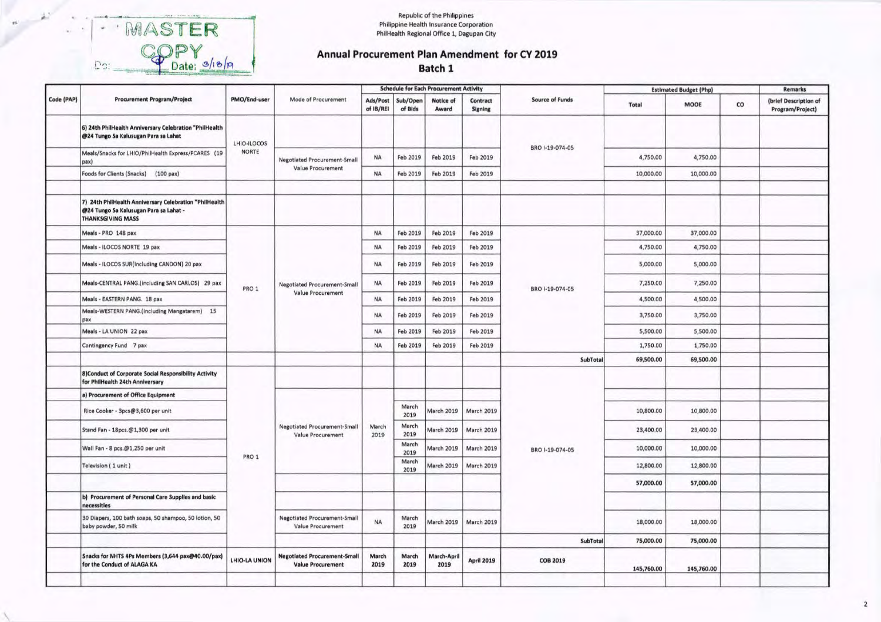WASTER<br>COPY<br>DOI: S/10/A  $\Box$ 

#### Republic of the Philippines Philippine Health Insurance Corporation<br>PhilHealth Regional Office 1, Dagupan City

#### Annual Procurement Plan Amendment for CY 2019 Batch 1

|            |                                                                                                                              |               |                                                                 |                                                          |                     | <b>Schedule for Each Procurement Activity</b> |                            |                   |            | <b>Estimated Budget (Php)</b> |           | <b>Remarks</b>                            |
|------------|------------------------------------------------------------------------------------------------------------------------------|---------------|-----------------------------------------------------------------|----------------------------------------------------------|---------------------|-----------------------------------------------|----------------------------|-------------------|------------|-------------------------------|-----------|-------------------------------------------|
| Code (PAP) | <b>Procurement Program/Project</b>                                                                                           | PMO/End-user  | Mode of Procurement                                             | Ads/Post<br>of IB/REI                                    | Sub/Open<br>of Bids | Notice of<br>Award                            | Contract<br><b>Signing</b> | Source of Funds   | Total      | MOOE                          | co        | (brief Description of<br>Program/Project) |
|            | 6) 24th PhilHealth Anniversary Celebration "PhilHealth<br>@24 Tungo Sa Kalusugan Para sa Lahat                               | LHIO-ILOCOS   |                                                                 |                                                          |                     |                                               |                            |                   |            |                               |           |                                           |
|            | Meals/Snacks for LHIO/PhilHealth Express/PCARES (19<br>$pax$                                                                 | <b>NORTE</b>  | <b>Negotiated Procurement-Small</b>                             | <b>NA</b>                                                | Feb 2019            | Feb 2019                                      | Feb 2019                   | BRO I-19-074-05   | 4,750.00   | 4,750.00                      |           |                                           |
|            | Foods for Clients (Snacks) (100 pax)                                                                                         |               | Value Procurement                                               | <b>NA</b>                                                | Feb 2019            | Feb 2019                                      | Feb 2019                   |                   | 10,000.00  | 10,000.00                     |           |                                           |
|            | 7) 24th PhilHealth Anniversary Celebration "PhilHealth<br>@24 Tungo Sa Kalusugan Para sa Lahat -<br><b>THANKSGIVING MASS</b> |               |                                                                 |                                                          |                     |                                               |                            |                   |            |                               |           |                                           |
|            | Meals - PRO 148 pax                                                                                                          |               |                                                                 | <b>NA</b>                                                | Feb 2019            | Feb 2019                                      | Feb 2019                   |                   | 37,000.00  | 37,000.00                     |           |                                           |
|            | Meals - ILOCOS NORTE 19 pax                                                                                                  |               |                                                                 | <b>NA</b>                                                | Feb 2019            | Feb 2019                                      | Feb 2019                   |                   | 4,750.00   | 4,750.00                      |           |                                           |
|            | Meals - ILOCOS SUR(Including CANDON) 20 pax                                                                                  |               |                                                                 | <b>NA</b>                                                | Feb 2019            | Feb 2019                                      | Feb 2019                   |                   | 5,000.00   | 5,000.00                      |           |                                           |
|            | Meals-CENTRAL PANG.(including SAN CARLOS) 29 pax                                                                             | PRO 1         | <b>Negotiated Procurement-Small</b>                             | <b>NA</b>                                                | Feb 2019            | Feb 2019                                      | Feb 2019                   | BRO I-19-074-05   | 7,250.00   | 7,250.00                      |           |                                           |
|            | Meals - EASTERN PANG. 18 pax                                                                                                 |               | Value Procurement                                               | <b>NA</b>                                                | Feb 2019            | Feb 2019                                      | Feb 2019                   |                   | 4,500.00   | 4,500.00                      |           |                                           |
|            | Meals-WESTERN PANG.(including Mangatarem) 15<br>pax                                                                          |               |                                                                 | <b>NA</b>                                                | Feb 2019            | Feb 2019                                      | Feb 2019                   |                   | 3,750.00   | 3,750.00                      |           |                                           |
|            | Meals - LA UNION 22 pax                                                                                                      |               |                                                                 | <b>NA</b>                                                | Feb 2019            | Feb 2019                                      | Feb 2019                   |                   | 5,500.00   | 5,500.00                      |           |                                           |
|            | Contingency Fund 7 pax                                                                                                       |               |                                                                 | <b>NA</b>                                                | Feb 2019            | Feb 2019                                      | Feb 2019                   |                   | 1,750.00   | 1,750.00                      |           |                                           |
|            |                                                                                                                              |               |                                                                 |                                                          |                     |                                               |                            | SubTotal          | 69,500.00  | 69,500.00                     |           |                                           |
|            | 8) Conduct of Corporate Social Responsibility Activity<br>for PhilHealth 24th Anniversary                                    |               |                                                                 |                                                          |                     |                                               |                            |                   |            |                               |           |                                           |
|            | a) Procurement of Office Equipment                                                                                           |               |                                                                 |                                                          |                     |                                               |                            |                   |            |                               |           |                                           |
|            | Rice Cooker - 3pcs@3,600 per unit                                                                                            |               |                                                                 |                                                          | March<br>2019       | <b>March 2019</b>                             | <b>March 2019</b>          |                   | 10,800.00  | 10,800.00                     |           |                                           |
|            | Stand Fan - 18pcs.@1,300 per unit                                                                                            |               |                                                                 | <b>Negotiated Procurement-Small</b><br>Value Procurement | March<br>2019       | March<br>2019                                 | <b>March 2019</b>          | <b>March 2019</b> |            | 23,400.00                     | 23,400.00 |                                           |
|            | Wall Fan - 8 pcs.@1,250 per unit                                                                                             | PRO 1         |                                                                 |                                                          | March<br>2019       | <b>March 2019</b>                             | <b>March 2019</b>          | BRO I-19-074-05   | 10,000.00  | 10,000.00                     |           |                                           |
|            | Television (1 unit)                                                                                                          |               |                                                                 |                                                          | March<br>2019       | <b>March 2019</b>                             | <b>March 2019</b>          |                   | 12,800.00  | 12,800.00                     |           |                                           |
|            |                                                                                                                              |               |                                                                 |                                                          |                     |                                               |                            |                   | 57,000.00  | 57,000.00                     |           |                                           |
|            | b) Procurement of Personal Care Supplies and basic<br>necessities                                                            |               |                                                                 |                                                          |                     |                                               |                            |                   |            |                               |           |                                           |
|            | 30 Diapers, 100 bath soaps, 50 shampoo, 50 lotion, 50<br>baby powder, 50 milk                                                |               | <b>Negotiated Procurement-Small</b><br>Value Procurement        | <b>NA</b>                                                | March<br>2019       | <b>March 2019</b>                             | March 2019                 |                   | 18,000.00  | 18,000.00                     |           |                                           |
|            |                                                                                                                              |               |                                                                 |                                                          |                     |                                               |                            | SubTotal          | 75,000.00  | 75,000.00                     |           |                                           |
|            | Snacks for NHTS 4Ps Members (3,644 pax@40.00/pax)<br>for the Conduct of ALAGA KA                                             | LHIO-LA UNION | <b>Negotiated Procurement-Small</b><br><b>Value Procurement</b> | March<br>2019                                            | March<br>2019       | <b>March-April</b><br>2019                    | April 2019                 | <b>COB 2019</b>   | 145,760.00 | 145,760.00                    |           |                                           |
|            |                                                                                                                              |               |                                                                 |                                                          |                     |                                               |                            |                   |            |                               |           |                                           |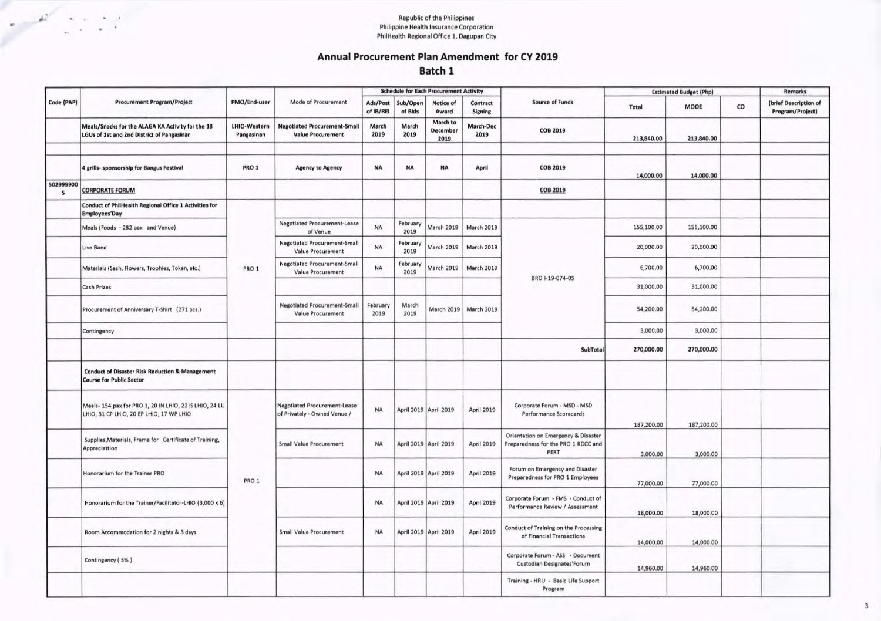**Republic of the Philippines** Philippine Health Insurance Corporation<br>PhilHealth Regional Office 1, Dagupan City

k,

 $\sim$   $+$ 

#### Annual Procurement Plan Amendment for CY 2019 Batch 1

|                |                                                                                                     |                            |                                                                     |                       |                     | <b>Schedule for Each Procurement Activity</b> |                            |                                                                                    | <b>Estimated Budget (Php)</b> |            | <b>Remarks</b> |                                           |
|----------------|-----------------------------------------------------------------------------------------------------|----------------------------|---------------------------------------------------------------------|-----------------------|---------------------|-----------------------------------------------|----------------------------|------------------------------------------------------------------------------------|-------------------------------|------------|----------------|-------------------------------------------|
| Code (PAP)     | <b>Procurement Program/Project</b>                                                                  | PMO/End-user               | Mode of Procurement                                                 | Ads/Post<br>of IB/REI | Sub/Open<br>of Bids | Notice of<br>Award                            | Contract<br><b>Signing</b> | <b>Source of Funds</b>                                                             | Total                         | MOOE       | co             | (brief Description of<br>Program/Project) |
|                | Meals/Snacks for the ALAGA KA Activity for the 18<br>LGUs of 1st and 2nd District of Pangasinan     | LHIO-Western<br>Pangasinan | <b>Negotiated Procurement-Small</b><br><b>Value Procurement</b>     | March<br>2019         | March<br>2019       | March to<br>December<br>2019                  | March-Dec<br>2019          | <b>COB 2019</b>                                                                    | 213,840.00                    | 213,840.00 |                |                                           |
|                | 4 grills- sponsorship for Bangus Festival                                                           | PRO 1                      | <b>Agency to Agency</b>                                             | <b>NA</b>             | <b>NA</b>           | <b>NA</b>                                     | April                      | <b>COB 2019</b>                                                                    | 14,000.00                     | 14,000.00  |                |                                           |
| 502999900<br>5 | <b>CORPORATE FORUM</b>                                                                              |                            |                                                                     |                       |                     |                                               |                            | <b>COB 2019</b>                                                                    |                               |            |                |                                           |
|                | Conduct of PhilHealth Regional Office 1 Activities for<br><b>Employees'Day</b>                      |                            |                                                                     |                       |                     |                                               |                            |                                                                                    |                               |            |                |                                           |
|                | Meals (Foods - 282 pax and Venue)                                                                   |                            | <b>Negotiated Procurement-Lease</b><br>of Venue                     | <b>NA</b>             | February<br>2019    | <b>March 2019</b>                             | <b>March 2019</b>          |                                                                                    | 155,100.00                    | 155,100.00 |                |                                           |
|                | Live Band                                                                                           |                            | <b>Negotiated Procurement-Small</b><br>Value Procurement            | <b>NA</b>             | February<br>2019    | <b>March 2019</b>                             | <b>March 2019</b>          |                                                                                    | 20,000.00                     | 20,000.00  |                |                                           |
|                | Materials (Sash, Flowers, Trophies, Token, etc.)                                                    | PRO 1                      | <b>Negotiated Procurement-Small</b><br>Value Procurement            | <b>NA</b>             | February<br>2019    | <b>March 2019</b>                             | March 2019                 | BRO I-19-074-05                                                                    | 6,700.00                      | 6,700.00   |                |                                           |
|                | <b>Cash Prizes</b>                                                                                  |                            |                                                                     |                       |                     |                                               |                            |                                                                                    | 31,000.00                     | 31,000.00  |                |                                           |
|                | Procurement of Anniversary T-Shirt (271 pcs.)                                                       |                            | <b>Negotiated Procurement-Small</b><br>Value Procurement            | February<br>2019      | March<br>2019       |                                               | March 2019   March 2019    |                                                                                    | 54,200.00                     | 54,200.00  |                |                                           |
|                | Contingency                                                                                         |                            |                                                                     |                       |                     |                                               |                            |                                                                                    | 3,000.00                      | 3,000.00   |                |                                           |
|                |                                                                                                     |                            |                                                                     |                       |                     |                                               |                            | SubTotal                                                                           | 270,000.00                    | 270,000.00 |                |                                           |
|                | <b>Conduct of Disaster Risk Reduction &amp; Management</b><br><b>Course for Public Sector</b>       |                            |                                                                     |                       |                     |                                               |                            |                                                                                    |                               |            |                |                                           |
|                | Meals- 154 pax for PRO 1, 20 IN LHIO, 22 IS LHIO, 24 LU<br>LHIO, 31 CP LHIO, 20 EP LHIO, 17 WP LHIO |                            | <b>Negotiated Procurement-Lease</b><br>of Privately - Owned Venue / | <b>NA</b>             |                     | April 2019 April 2019                         | <b>April 2019</b>          | Corporate Forum - MSD - MSD<br>Performance Scorecards                              | 187,200.00                    | 187,200.00 |                |                                           |
|                | Supplies, Materials, Frame for Certificate of Training,<br>Appreciattion                            |                            | <b>Small Value Procurement</b>                                      | <b>NA</b>             |                     | April 2019 April 2019                         | April 2019                 | Orientation on Emergency & Disaster<br>Preparedness for the PRO 1 RDCC and<br>PERT | 3,000.00                      | 3,000.00   |                |                                           |
|                | Honorarium for the Trainer PRO                                                                      | PRO 1                      |                                                                     | <b>NA</b>             |                     | April 2019 April 2019                         | April 2019                 | Forum on Emergency and Disaster<br>Preparedness for PRO 1 Employees                | 77,000.00                     | 77,000.00  |                |                                           |
|                | Honorarium for the Trainer/Facilitator-LHIO (3,000 x 6)                                             |                            |                                                                     | <b>NA</b>             |                     | April 2019 April 2019                         | April 2019                 | Corporate Forum - FMS - Conduct of<br>Performance Review / Assessment              | 18,000.00                     | 18,000.00  |                |                                           |
|                | Room Accommodation for 2 nights & 3 days                                                            |                            | <b>Small Value Procurement</b>                                      | <b>NA</b>             |                     | April 2019 April 2019                         | April 2019                 | Conduct of Training on the Processing<br>of Financial Transactions                 | 14,000.00                     | 14,000.00  |                |                                           |
|                | Contingency (5%)                                                                                    |                            |                                                                     |                       |                     |                                               |                            | Corporate Forum - ASS - Document<br>Custodian Designates'Forum                     | 14,960.00                     | 14,960.00  |                |                                           |
|                |                                                                                                     |                            |                                                                     |                       |                     |                                               |                            | Training - HRU - Basic Life Support<br>Program                                     |                               |            |                |                                           |